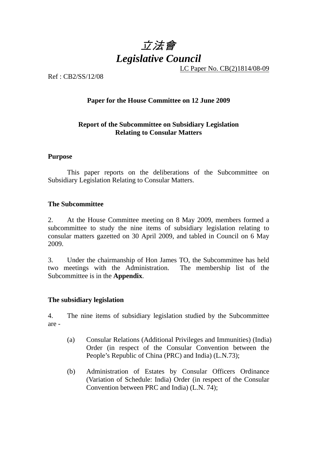

LC Paper No. CB(2)1814/08-09

Ref : CB2/SS/12/08

# **Paper for the House Committee on 12 June 2009**

# **Report of the Subcommittee on Subsidiary Legislation Relating to Consular Matters**

## **Purpose**

This paper reports on the deliberations of the Subcommittee on Subsidiary Legislation Relating to Consular Matters.

## **The Subcommittee**

2. At the House Committee meeting on 8 May 2009, members formed a subcommittee to study the nine items of subsidiary legislation relating to consular matters gazetted on 30 April 2009, and tabled in Council on 6 May 2009.

3. Under the chairmanship of Hon James TO, the Subcommittee has held two meetings with the Administration. The membership list of the Subcommittee is in the **Appendix**.

#### **The subsidiary legislation**

4. The nine items of subsidiary legislation studied by the Subcommittee are -

- (a) Consular Relations (Additional Privileges and Immunities) (India) Order (in respect of the Consular Convention between the People's Republic of China (PRC) and India) (L.N.73);
- (b) Administration of Estates by Consular Officers Ordinance (Variation of Schedule: India) Order (in respect of the Consular Convention between PRC and India) (L.N. 74);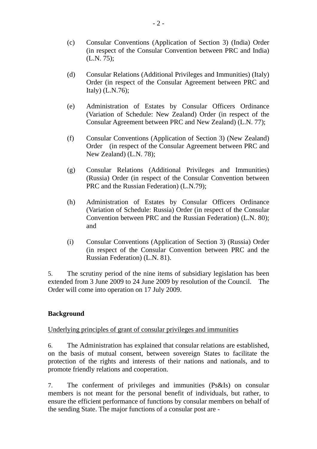- (c) Consular Conventions (Application of Section 3) (India) Order (in respect of the Consular Convention between PRC and India) (L.N. 75);
- (d) Consular Relations (Additional Privileges and Immunities) (Italy) Order (in respect of the Consular Agreement between PRC and Italy) (L.N.76);
- (e) Administration of Estates by Consular Officers Ordinance (Variation of Schedule: New Zealand) Order (in respect of the Consular Agreement between PRC and New Zealand) (L.N. 77);
- (f) Consular Conventions (Application of Section 3) (New Zealand) Order (in respect of the Consular Agreement between PRC and New Zealand) (L.N. 78);
- (g) Consular Relations (Additional Privileges and Immunities) (Russia) Order (in respect of the Consular Convention between PRC and the Russian Federation) (L.N.79);
- (h) Administration of Estates by Consular Officers Ordinance (Variation of Schedule: Russia) Order (in respect of the Consular Convention between PRC and the Russian Federation) (L.N. 80); and
- (i) Consular Conventions (Application of Section 3) (Russia) Order (in respect of the Consular Convention between PRC and the Russian Federation) (L.N. 81).

5. The scrutiny period of the nine items of subsidiary legislation has been extended from 3 June 2009 to 24 June 2009 by resolution of the Council. The Order will come into operation on 17 July 2009.

# **Background**

# Underlying principles of grant of consular privileges and immunities

6. The Administration has explained that consular relations are established, on the basis of mutual consent, between sovereign States to facilitate the protection of the rights and interests of their nations and nationals, and to promote friendly relations and cooperation.

7. The conferment of privileges and immunities (Ps&Is) on consular members is not meant for the personal benefit of individuals, but rather, to ensure the efficient performance of functions by consular members on behalf of the sending State. The major functions of a consular post are -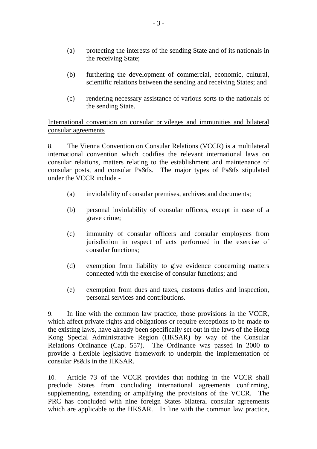- (a) protecting the interests of the sending State and of its nationals in the receiving State;
- (b) furthering the development of commercial, economic, cultural, scientific relations between the sending and receiving States; and
- (c) rendering necessary assistance of various sorts to the nationals of the sending State.

International convention on consular privileges and immunities and bilateral consular agreements

8. The Vienna Convention on Consular Relations (VCCR) is a multilateral international convention which codifies the relevant international laws on consular relations, matters relating to the establishment and maintenance of consular posts, and consular Ps&Is. The major types of Ps&Is stipulated under the VCCR include -

- (a) inviolability of consular premises, archives and documents;
- (b) personal inviolability of consular officers, except in case of a grave crime;
- (c) immunity of consular officers and consular employees from jurisdiction in respect of acts performed in the exercise of consular functions;
- (d) exemption from liability to give evidence concerning matters connected with the exercise of consular functions; and
- (e) exemption from dues and taxes, customs duties and inspection, personal services and contributions.

9. In line with the common law practice, those provisions in the VCCR, which affect private rights and obligations or require exceptions to be made to the existing laws, have already been specifically set out in the laws of the Hong Kong Special Administrative Region (HKSAR) by way of the Consular Relations Ordinance (Cap. 557). The Ordinance was passed in 2000 to provide a flexible legislative framework to underpin the implementation of consular Ps&Is in the HKSAR.

10. Article 73 of the VCCR provides that nothing in the VCCR shall preclude States from concluding international agreements confirming, supplementing, extending or amplifying the provisions of the VCCR. The PRC has concluded with nine foreign States bilateral consular agreements which are applicable to the HKSAR. In line with the common law practice,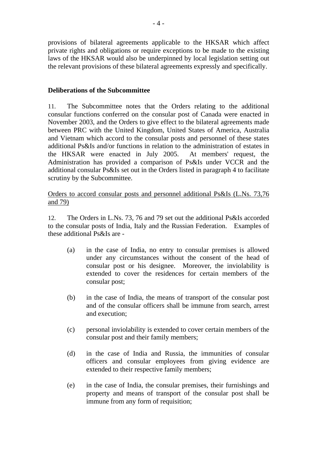provisions of bilateral agreements applicable to the HKSAR which affect private rights and obligations or require exceptions to be made to the existing laws of the HKSAR would also be underpinned by local legislation setting out the relevant provisions of these bilateral agreements expressly and specifically.

# **Deliberations of the Subcommittee**

11. The Subcommittee notes that the Orders relating to the additional consular functions conferred on the consular post of Canada were enacted in November 2003, and the Orders to give effect to the bilateral agreements made between PRC with the United Kingdom, United States of America, Australia and Vietnam which accord to the consular posts and personnel of these states additional Ps&Is and/or functions in relation to the administration of estates in the HKSAR were enacted in July 2005. At members' request, the Administration has provided a comparison of Ps&Is under VCCR and the additional consular Ps&Is set out in the Orders listed in paragraph 4 to facilitate scrutiny by the Subcommittee.

# Orders to accord consular posts and personnel additional Ps&Is (L.Ns. 73,76 and 79)

12. The Orders in L.Ns. 73, 76 and 79 set out the additional Ps&Is accorded to the consular posts of India, Italy and the Russian Federation. Examples of these additional Ps&Is are -

- (a) in the case of India, no entry to consular premises is allowed under any circumstances without the consent of the head of consular post or his designee. Moreover, the inviolability is extended to cover the residences for certain members of the consular post;
- (b) in the case of India, the means of transport of the consular post and of the consular officers shall be immune from search, arrest and execution;
- (c) personal inviolability is extended to cover certain members of the consular post and their family members;
- (d) in the case of India and Russia, the immunities of consular officers and consular employees from giving evidence are extended to their respective family members;
- (e) in the case of India, the consular premises, their furnishings and property and means of transport of the consular post shall be immune from any form of requisition: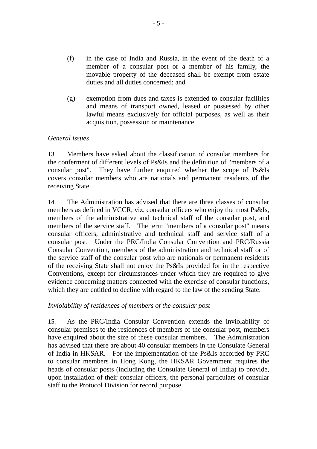- (f) in the case of India and Russia, in the event of the death of a member of a consular post or a member of his family, the movable property of the deceased shall be exempt from estate duties and all duties concerned; and
- (g) exemption from dues and taxes is extended to consular facilities and means of transport owned, leased or possessed by other lawful means exclusively for official purposes, as well as their acquisition, possession or maintenance.

## *General issues*

13. Members have asked about the classification of consular members for the conferment of different levels of Ps&Is and the definition of "members of a consular post". They have further enquired whether the scope of Ps&Is covers consular members who are nationals and permanent residents of the receiving State.

14. The Administration has advised that there are three classes of consular members as defined in VCCR, viz. consular officers who enjoy the most Ps&Is, members of the administrative and technical staff of the consular post, and members of the service staff. The term "members of a consular post" means consular officers, administrative and technical staff and service staff of a consular post. Under the PRC/India Consular Convention and PRC/Russia Consular Convention, members of the administration and technical staff or of the service staff of the consular post who are nationals or permanent residents of the receiving State shall not enjoy the Ps&Is provided for in the respective Conventions, except for circumstances under which they are required to give evidence concerning matters connected with the exercise of consular functions, which they are entitled to decline with regard to the law of the sending State.

#### *Inviolability of residences of members of the consular post*

15. As the PRC/India Consular Convention extends the inviolability of consular premises to the residences of members of the consular post, members have enquired about the size of these consular members. The Administration has advised that there are about 40 consular members in the Consulate General of India in HKSAR. For the implementation of the Ps&Is accorded by PRC to consular members in Hong Kong, the HKSAR Government requires the heads of consular posts (including the Consulate General of India) to provide, upon installation of their consular officers, the personal particulars of consular staff to the Protocol Division for record purpose.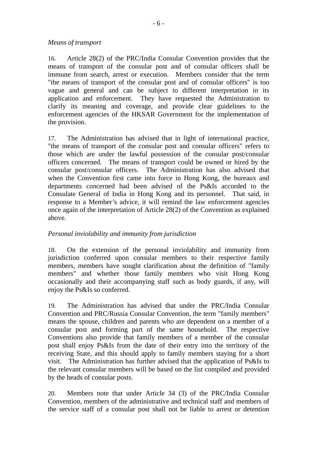## *Means of transport*

16. Article 28(2) of the PRC/India Consular Convention provides that the means of transport of the consular post and of consular officers shall be immune from search, arrest or execution. Members consider that the term "the means of transport of the consular post and of consular officers" is too vague and general and can be subject to different interpretation in its application and enforcement. They have requested the Administration to clarify its meaning and coverage, and provide clear guidelines to the enforcement agencies of the HKSAR Government for the implementation of the provision.

17. The Administration has advised that in light of international practice, "the means of transport of the consular post and consular officers" refers to those which are under the lawful possession of the consular post/consular officers concerned. The means of transport could be owned or hired by the consular post/consular officers. The Administration has also advised that when the Convention first came into force in Hong Kong, the bureaux and departments concerned had been advised of the Ps&Is accorded to the Consulate General of India in Hong Kong and its personnel. That said, in response to a Member's advice, it will remind the law enforcement agencies once again of the interpretation of Article 28(2) of the Convention as explained above.

# *Personal inviolability and immunity from jurisdiction*

18. On the extension of the personal inviolability and immunity from jurisdiction conferred upon consular members to their respective family members, members have sought clarification about the definition of "family members" and whether those family members who visit Hong Kong occasionally and their accompanying staff such as body guards, if any, will enjoy the Ps&Is so conferred.

19. The Administration has advised that under the PRC/India Consular Convention and PRC/Russia Consular Convention, the term "family members" means the spouse, children and parents who are dependent on a member of a consular post and forming part of the same household. The respective Conventions also provide that family members of a member of the consular post shall enjoy Ps&Is from the date of their entry into the territory of the receiving State, and this should apply to family members staying for a short visit. The Administration has further advised that the application of Ps&Is to the relevant consular members will be based on the list compiled and provided by the heads of consular posts.

20. Members note that under Article 34 (3) of the PRC/India Consular Convention, members of the administrative and technical staff and members of the service staff of a consular post shall not be liable to arrest or detention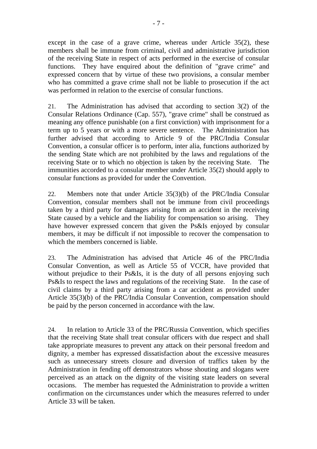except in the case of a grave crime, whereas under Article 35(2), these members shall be immune from criminal, civil and administrative jurisdiction of the receiving State in respect of acts performed in the exercise of consular functions. They have enquired about the definition of "grave crime" and expressed concern that by virtue of these two provisions, a consular member who has committed a grave crime shall not be liable to prosecution if the act was performed in relation to the exercise of consular functions.

21. The Administration has advised that according to section 3(2) of the Consular Relations Ordinance (Cap. 557), "grave crime" shall be construed as meaning any offence punishable (on a first conviction) with imprisonment for a term up to 5 years or with a more severe sentence. The Administration has further advised that according to Article 9 of the PRC/India Consular Convention, a consular officer is to perform, inter alia, functions authorized by the sending State which are not prohibited by the laws and regulations of the receiving State or to which no objection is taken by the receiving State. The immunities accorded to a consular member under Article 35(2) should apply to consular functions as provided for under the Convention.

22. Members note that under Article 35(3)(b) of the PRC/India Consular Convention, consular members shall not be immune from civil proceedings taken by a third party for damages arising from an accident in the receiving State caused by a vehicle and the liability for compensation so arising. They have however expressed concern that given the Ps&Is enjoyed by consular members, it may be difficult if not impossible to recover the compensation to which the members concerned is liable.

23. The Administration has advised that Article 46 of the PRC/India Consular Convention, as well as Article 55 of VCCR, have provided that without prejudice to their Ps&Is, it is the duty of all persons enjoying such Ps&Is to respect the laws and regulations of the receiving State. In the case of civil claims by a third party arising from a car accident as provided under Article 35(3)(b) of the PRC/India Consular Convention, compensation should be paid by the person concerned in accordance with the law.

24. In relation to Article 33 of the PRC/Russia Convention, which specifies that the receiving State shall treat consular officers with due respect and shall take appropriate measures to prevent any attack on their personal freedom and dignity, a member has expressed dissatisfaction about the excessive measures such as unnecessary streets closure and diversion of traffics taken by the Administration in fending off demonstrators whose shouting and slogans were perceived as an attack on the dignity of the visiting state leaders on several occasions. The member has requested the Administration to provide a written confirmation on the circumstances under which the measures referred to under Article 33 will be taken.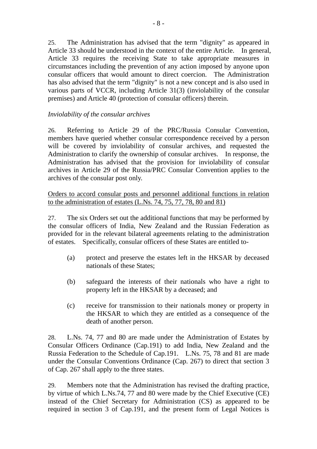25. The Administration has advised that the term "dignity" as appeared in Article 33 should be understood in the context of the entire Article. In general, Article 33 requires the receiving State to take appropriate measures in circumstances including the prevention of any action imposed by anyone upon consular officers that would amount to direct coercion. The Administration has also advised that the term "dignity" is not a new concept and is also used in various parts of VCCR, including Article 31(3) (inviolability of the consular premises) and Article 40 (protection of consular officers) therein.

# *Inviolability of the consular archives*

26. Referring to Article 29 of the PRC/Russia Consular Convention, members have queried whether consular correspondence received by a person will be covered by inviolability of consular archives, and requested the Administration to clarify the ownership of consular archives. In response, the Administration has advised that the provision for inviolability of consular archives in Article 29 of the Russia/PRC Consular Convention applies to the archives of the consular post only.

# Orders to accord consular posts and personnel additional functions in relation to the administration of estates (L.Ns. 74, 75, 77, 78, 80 and 81)

27. The six Orders set out the additional functions that may be performed by the consular officers of India, New Zealand and the Russian Federation as provided for in the relevant bilateral agreements relating to the administration of estates. Specifically, consular officers of these States are entitled to-

- (a) protect and preserve the estates left in the HKSAR by deceased nationals of these States;
- (b) safeguard the interests of their nationals who have a right to property left in the HKSAR by a deceased; and
- (c) receive for transmission to their nationals money or property in the HKSAR to which they are entitled as a consequence of the death of another person.

28. L.Ns. 74, 77 and 80 are made under the Administration of Estates by Consular Officers Ordinance (Cap.191) to add India, New Zealand and the Russia Federation to the Schedule of Cap.191. L.Ns. 75, 78 and 81 are made under the Consular Conventions Ordinance (Cap. 267) to direct that section 3 of Cap. 267 shall apply to the three states.

29. Members note that the Administration has revised the drafting practice, by virtue of which L.Ns.74, 77 and 80 were made by the Chief Executive (CE) instead of the Chief Secretary for Administration (CS) as appeared to be required in section 3 of Cap.191, and the present form of Legal Notices is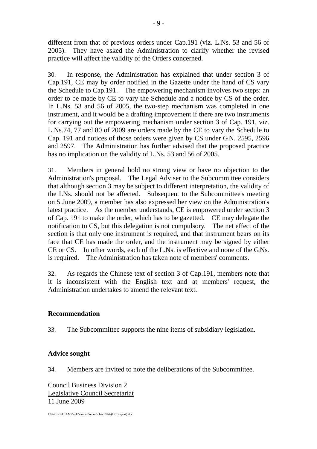different from that of previous orders under Cap.191 (viz. L.Ns. 53 and 56 of 2005). They have asked the Administration to clarify whether the revised practice will affect the validity of the Orders concerned.

30. In response, the Administration has explained that under section 3 of Cap.191, CE may by order notified in the Gazette under the hand of CS vary the Schedule to Cap.191. The empowering mechanism involves two steps: an order to be made by CE to vary the Schedule and a notice by CS of the order. In L.Ns. 53 and 56 of 2005, the two-step mechanism was completed in one instrument, and it would be a drafting improvement if there are two instruments for carrying out the empowering mechanism under section 3 of Cap. 191, viz. L.Ns.74, 77 and 80 of 2009 are orders made by the CE to vary the Schedule to Cap. 191 and notices of those orders were given by CS under G.N. 2595, 2596 and 2597. The Administration has further advised that the proposed practice has no implication on the validity of L.Ns. 53 and 56 of 2005.

31. Members in general hold no strong view or have no objection to the Administration's proposal. The Legal Adviser to the Subcommittee considers that although section 3 may be subject to different interpretation, the validity of the LNs. should not be affected. Subsequent to the Subcommittee's meeting on 5 June 2009, a member has also expressed her view on the Administration's latest practice. As the member understands, CE is empowered under section 3 of Cap. 191 to make the order, which has to be gazetted. CE may delegate the notification to CS, but this delegation is not compulsory. The net effect of the section is that only one instrument is required, and that instrument bears on its face that CE has made the order, and the instrument may be signed by either CE or CS. In other words, each of the L.Ns. is effective and none of the G.Ns. is required. The Administration has taken note of members' comments.

32. As regards the Chinese text of section 3 of Cap.191, members note that it is inconsistent with the English text and at members' request, the Administration undertakes to amend the relevant text.

# **Recommendation**

33. The Subcommittee supports the nine items of subsidiary legislation.

# **Advice sought**

34. Members are invited to note the deliberations of the Subcommittee.

Council Business Division 2 Legislative Council Secretariat 11 June 2009